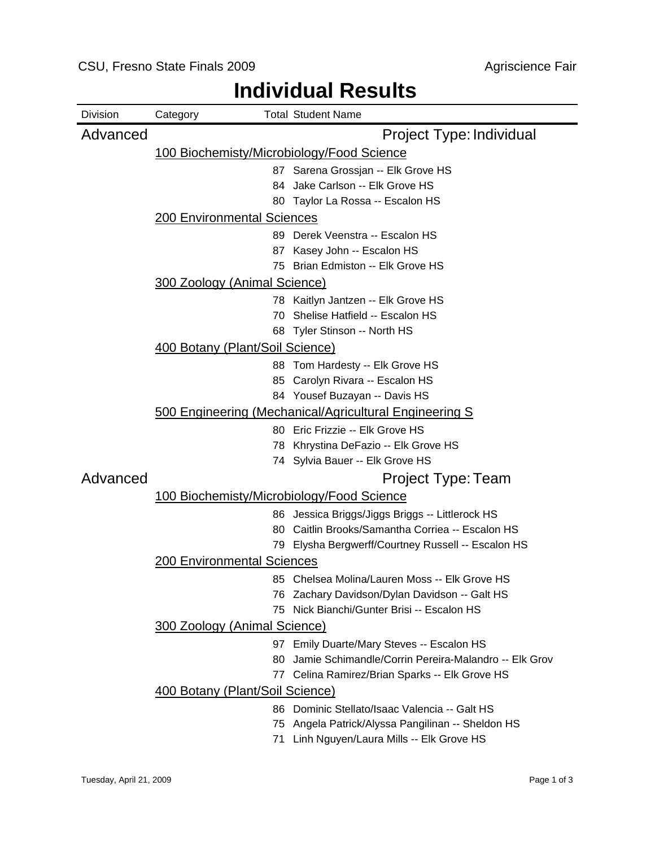| Project Type: Individual<br>Advanced                                                               |  |
|----------------------------------------------------------------------------------------------------|--|
|                                                                                                    |  |
| 100 Biochemisty/Microbiology/Food Science                                                          |  |
| 87 Sarena Grossjan -- Elk Grove HS                                                                 |  |
| Jake Carlson -- Elk Grove HS<br>84.                                                                |  |
| 80 Taylor La Rossa -- Escalon HS                                                                   |  |
| <b>200 Environmental Sciences</b>                                                                  |  |
| 89 Derek Veenstra -- Escalon HS                                                                    |  |
| 87 Kasey John -- Escalon HS                                                                        |  |
| 75 Brian Edmiston -- Elk Grove HS                                                                  |  |
| 300 Zoology (Animal Science)                                                                       |  |
| 78 Kaitlyn Jantzen -- Elk Grove HS                                                                 |  |
| Shelise Hatfield -- Escalon HS<br>70.                                                              |  |
| 68 Tyler Stinson -- North HS                                                                       |  |
| 400 Botany (Plant/Soil Science)                                                                    |  |
| 88 Tom Hardesty -- Elk Grove HS                                                                    |  |
| 85 Carolyn Rivara -- Escalon HS                                                                    |  |
| 84 Yousef Buzayan -- Davis HS                                                                      |  |
| 500 Engineering (Mechanical/Agricultural Engineering S                                             |  |
| 80 Eric Frizzie -- Elk Grove HS                                                                    |  |
| Khrystina DeFazio -- Elk Grove HS<br>78                                                            |  |
| 74 Sylvia Bauer -- Elk Grove HS                                                                    |  |
| Advanced<br>Project Type: Team                                                                     |  |
| <u>100 Biochemisty/Microbiology/Food Science</u>                                                   |  |
| 86 Jessica Briggs/Jiggs Briggs -- Littlerock HS                                                    |  |
| 80 Caitlin Brooks/Samantha Corriea -- Escalon HS                                                   |  |
| 79 Elysha Bergwerff/Courtney Russell -- Escalon HS                                                 |  |
| <b>200 Environmental Sciences</b>                                                                  |  |
| 85 Chelsea Molina/Lauren Moss -- Elk Grove HS                                                      |  |
| 76 Zachary Davidson/Dylan Davidson -- Galt HS                                                      |  |
| 75 Nick Bianchi/Gunter Brisi -- Escalon HS                                                         |  |
| <b>300 Zoology (Animal Science)</b>                                                                |  |
| 97 Emily Duarte/Mary Steves -- Escalon HS                                                          |  |
| Jamie Schimandle/Corrin Pereira-Malandro -- Elk Grov<br>80                                         |  |
| Celina Ramirez/Brian Sparks -- Elk Grove HS<br>77                                                  |  |
| 400 Botany (Plant/Soil Science)                                                                    |  |
| 86 Dominic Stellato/Isaac Valencia -- Galt HS                                                      |  |
| Angela Patrick/Alyssa Pangilinan -- Sheldon HS<br>75<br>71 Linh Nguyen/Laura Mills -- Elk Grove HS |  |

# **Individual Results**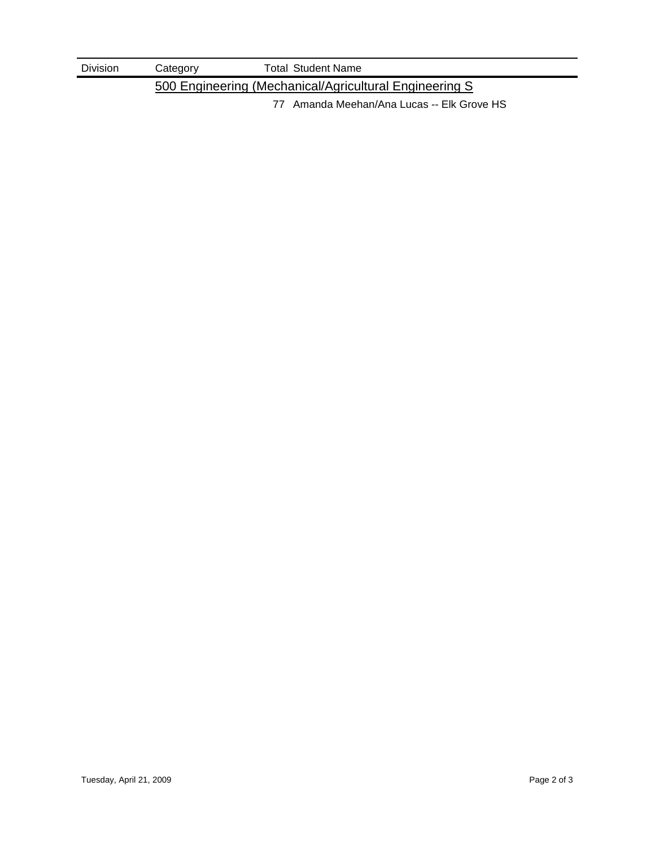| <b>Division</b> | Category | <b>Total Student Name</b>                               |
|-----------------|----------|---------------------------------------------------------|
|                 |          | 500 Engineering (Mechanical/Agricultural Engineering S) |

77 Amanda Meehan/Ana Lucas -- Elk Grove HS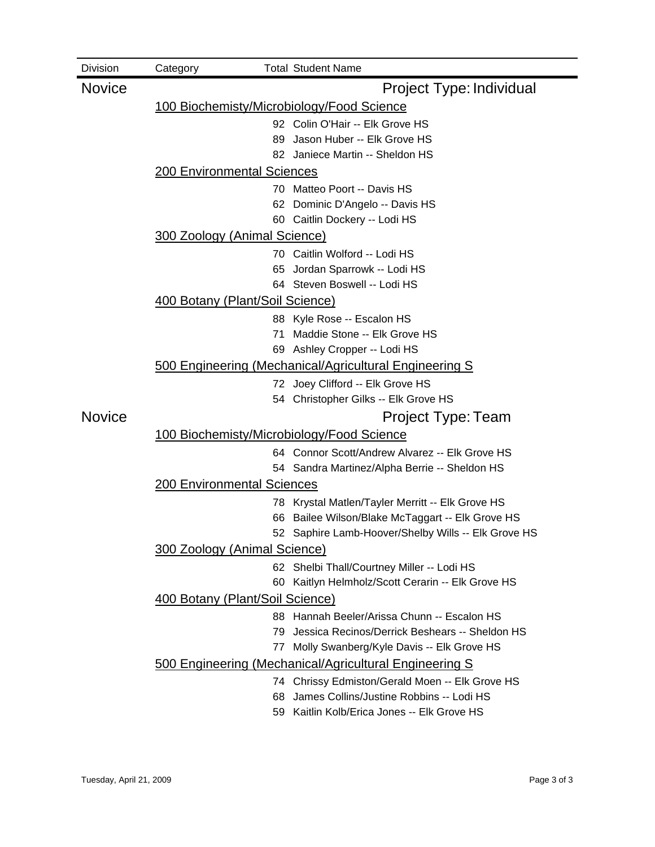| Division      | Category                                               |     | <b>Total Student Name</b>                                                                        |  |  |  |  |  |
|---------------|--------------------------------------------------------|-----|--------------------------------------------------------------------------------------------------|--|--|--|--|--|
| <b>Novice</b> |                                                        |     | Project Type: Individual                                                                         |  |  |  |  |  |
|               | <u>100 Biochemisty/Microbiology/Food Science</u>       |     |                                                                                                  |  |  |  |  |  |
|               |                                                        |     | 92 Colin O'Hair -- Elk Grove HS                                                                  |  |  |  |  |  |
|               |                                                        | 89  | Jason Huber -- Elk Grove HS                                                                      |  |  |  |  |  |
|               | 82 Janiece Martin -- Sheldon HS                        |     |                                                                                                  |  |  |  |  |  |
|               | <b>200 Environmental Sciences</b>                      |     |                                                                                                  |  |  |  |  |  |
|               | 70 Matteo Poort -- Davis HS                            |     |                                                                                                  |  |  |  |  |  |
|               | Dominic D'Angelo -- Davis HS                           |     |                                                                                                  |  |  |  |  |  |
|               | 60 Caitlin Dockery -- Lodi HS                          |     |                                                                                                  |  |  |  |  |  |
|               | 300 Zoology (Animal Science)                           |     |                                                                                                  |  |  |  |  |  |
|               |                                                        |     | 70 Caitlin Wolford -- Lodi HS                                                                    |  |  |  |  |  |
|               |                                                        | 65  | Jordan Sparrowk -- Lodi HS<br>64 Steven Boswell -- Lodi HS                                       |  |  |  |  |  |
|               | 400 Botany (Plant/Soil Science)                        |     |                                                                                                  |  |  |  |  |  |
|               |                                                        |     |                                                                                                  |  |  |  |  |  |
|               |                                                        | 71  | 88 Kyle Rose -- Escalon HS<br>Maddie Stone -- Elk Grove HS                                       |  |  |  |  |  |
|               |                                                        |     | 69 Ashley Cropper -- Lodi HS                                                                     |  |  |  |  |  |
|               | 500 Engineering (Mechanical/Agricultural Engineering S |     |                                                                                                  |  |  |  |  |  |
|               |                                                        |     | 72 Joey Clifford -- Elk Grove HS                                                                 |  |  |  |  |  |
|               |                                                        |     | 54 Christopher Gilks -- Elk Grove HS                                                             |  |  |  |  |  |
| <b>Novice</b> |                                                        |     | Project Type: Team                                                                               |  |  |  |  |  |
|               | 100 Biochemisty/Microbiology/Food Science              |     |                                                                                                  |  |  |  |  |  |
|               |                                                        |     | 64 Connor Scott/Andrew Alvarez -- Elk Grove HS                                                   |  |  |  |  |  |
|               |                                                        |     | 54 Sandra Martinez/Alpha Berrie -- Sheldon HS                                                    |  |  |  |  |  |
|               | <b>200 Environmental Sciences</b>                      |     |                                                                                                  |  |  |  |  |  |
|               |                                                        |     | 78 Krystal Matlen/Tayler Merritt -- Elk Grove HS                                                 |  |  |  |  |  |
|               |                                                        | 66  | Bailee Wilson/Blake McTaggart -- Elk Grove HS                                                    |  |  |  |  |  |
|               |                                                        |     | 52 Saphire Lamb-Hoover/Shelby Wills -- Elk Grove HS                                              |  |  |  |  |  |
|               | 300 Zoology (Animal Science)                           |     |                                                                                                  |  |  |  |  |  |
|               |                                                        |     | 62 Shelbi Thall/Courtney Miller -- Lodi HS                                                       |  |  |  |  |  |
|               |                                                        | 60  | Kaitlyn Helmholz/Scott Cerarin -- Elk Grove HS                                                   |  |  |  |  |  |
|               | 400 Botany (Plant/Soil Science)                        |     |                                                                                                  |  |  |  |  |  |
|               |                                                        |     | 88 Hannah Beeler/Arissa Chunn -- Escalon HS<br>79 Jessica Recinos/Derrick Beshears -- Sheldon HS |  |  |  |  |  |
|               |                                                        | 77. | Molly Swanberg/Kyle Davis -- Elk Grove HS                                                        |  |  |  |  |  |
|               |                                                        |     | 500 Engineering (Mechanical/Agricultural Engineering S                                           |  |  |  |  |  |
|               |                                                        |     | 74 Chrissy Edmiston/Gerald Moen -- Elk Grove HS                                                  |  |  |  |  |  |
|               |                                                        | 68  | James Collins/Justine Robbins -- Lodi HS                                                         |  |  |  |  |  |
|               |                                                        |     | 59 Kaitlin Kolb/Erica Jones -- Elk Grove HS                                                      |  |  |  |  |  |
|               |                                                        |     |                                                                                                  |  |  |  |  |  |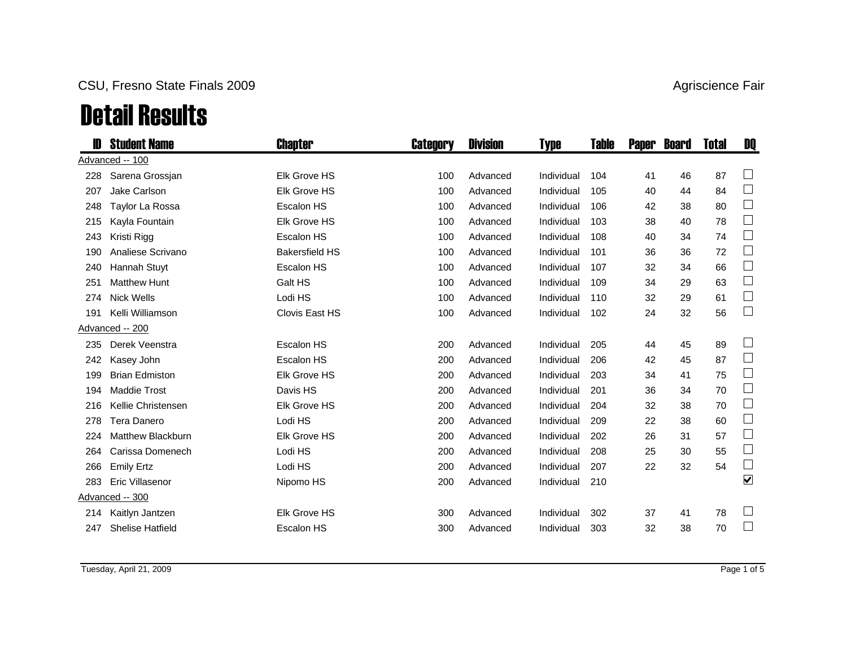### CSU, Fresno State Finals 2009 **Agriscience Fair** Agriscience Fair

# Detail Results

| D   | <b>Student Name</b>      | Chapter               | <b>Category</b> | <b>Division</b> | <b>Type</b> | Table | <b>Paper</b> | <b>Board</b> | <b>Total</b> | DQ                       |
|-----|--------------------------|-----------------------|-----------------|-----------------|-------------|-------|--------------|--------------|--------------|--------------------------|
|     | Advanced -- 100          |                       |                 |                 |             |       |              |              |              |                          |
| 228 | Sarena Grossjan          | <b>Elk Grove HS</b>   | 100             | Advanced        | Individual  | 104   | 41           | 46           | 87           |                          |
| 207 | Jake Carlson             | <b>Elk Grove HS</b>   | 100             | Advanced        | Individual  | 105   | 40           | 44           | 84           | $\Box$                   |
| 248 | Taylor La Rossa          | <b>Escalon HS</b>     | 100             | Advanced        | Individual  | 106   | 42           | 38           | 80           | $\Box$                   |
| 215 | Kayla Fountain           | <b>Elk Grove HS</b>   | 100             | Advanced        | Individual  | 103   | 38           | 40           | 78           | $\Box$                   |
| 243 | Kristi Rigg              | <b>Escalon HS</b>     | 100             | Advanced        | Individual  | 108   | 40           | 34           | 74           | $\Box$                   |
| 190 | Analiese Scrivano        | <b>Bakersfield HS</b> | 100             | Advanced        | Individual  | 101   | 36           | 36           | 72           | $\Box$                   |
| 240 | Hannah Stuyt             | <b>Escalon HS</b>     | 100             | Advanced        | Individual  | 107   | 32           | 34           | 66           | $\Box$                   |
| 251 | <b>Matthew Hunt</b>      | Galt HS               | 100             | Advanced        | Individual  | 109   | 34           | 29           | 63           | $\overline{\phantom{a}}$ |
| 274 | <b>Nick Wells</b>        | Lodi HS               | 100             | Advanced        | Individual  | 110   | 32           | 29           | 61           | $\Box$                   |
| 191 | Kelli Williamson         | Clovis East HS        | 100             | Advanced        | Individual  | 102   | 24           | 32           | 56           | $\Box$                   |
|     | Advanced -- 200          |                       |                 |                 |             |       |              |              |              |                          |
| 235 | Derek Veenstra           | Escalon HS            | 200             | Advanced        | Individual  | 205   | 44           | 45           | 89           |                          |
| 242 | Kasey John               | <b>Escalon HS</b>     | 200             | Advanced        | Individual  | 206   | 42           | 45           | 87           | $\Box$                   |
| 199 | <b>Brian Edmiston</b>    | <b>Elk Grove HS</b>   | 200             | Advanced        | Individual  | 203   | 34           | 41           | 75           | $\Box$                   |
| 194 | <b>Maddie Trost</b>      | Davis HS              | 200             | Advanced        | Individual  | 201   | 36           | 34           | 70           | $\Box$                   |
| 216 | Kellie Christensen       | <b>Elk Grove HS</b>   | 200             | Advanced        | Individual  | 204   | 32           | 38           | 70           | $\Box$                   |
| 278 | <b>Tera Danero</b>       | Lodi HS               | 200             | Advanced        | Individual  | 209   | 22           | 38           | 60           | $\Box$                   |
| 224 | <b>Matthew Blackburn</b> | <b>Elk Grove HS</b>   | 200             | Advanced        | Individual  | 202   | 26           | 31           | 57           | $\Box$                   |
| 264 | Carissa Domenech         | Lodi HS               | 200             | Advanced        | Individual  | 208   | 25           | 30           | 55           | $\Box$                   |
| 266 | <b>Emily Ertz</b>        | Lodi HS               | 200             | Advanced        | Individual  | 207   | 22           | 32           | 54           | $\Box$                   |
| 283 | <b>Eric Villasenor</b>   | Nipomo HS             | 200             | Advanced        | Individual  | 210   |              |              |              | $\blacktriangledown$     |
|     | Advanced -- 300          |                       |                 |                 |             |       |              |              |              |                          |
| 214 | Kaitlyn Jantzen          | <b>Elk Grove HS</b>   | 300             | Advanced        | Individual  | 302   | 37           | 41           | 78           |                          |
| 247 | <b>Shelise Hatfield</b>  | <b>Escalon HS</b>     | 300             | Advanced        | Individual  | 303   | 32           | 38           | 70           |                          |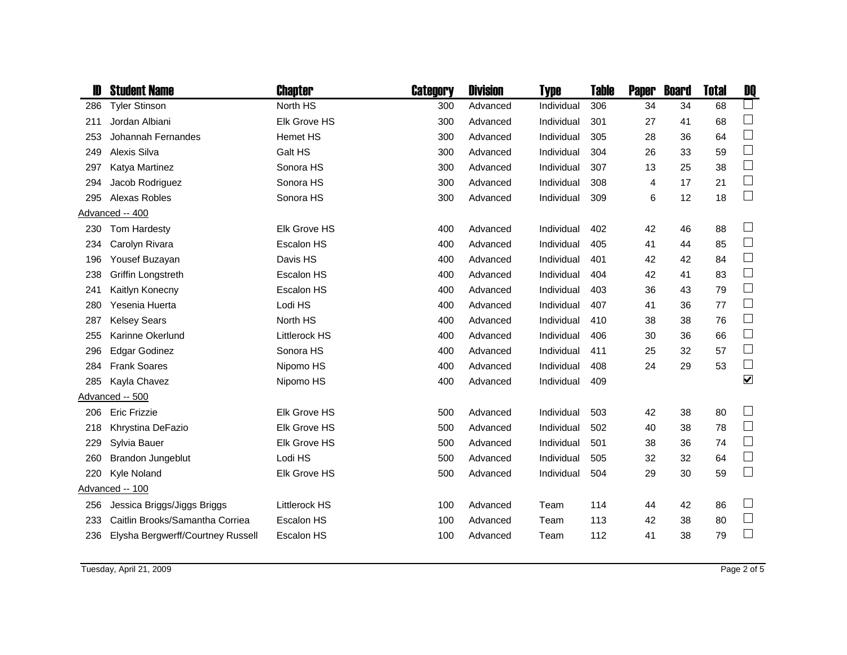| D   | <b>Student Name</b>               | <b>Chapter</b>       | Category | <b>Division</b> | <b>Type</b> | <b>Table</b> | <b>Paper</b> | <b>Board</b> | <b>Total</b> | DQ                          |
|-----|-----------------------------------|----------------------|----------|-----------------|-------------|--------------|--------------|--------------|--------------|-----------------------------|
| 286 | <b>Tyler Stinson</b>              | North HS             | 300      | Advanced        | Individual  | 306          | 34           | 34           | 68           |                             |
| 211 | Jordan Albiani                    | <b>Elk Grove HS</b>  | 300      | Advanced        | Individual  | 301          | 27           | 41           | 68           | $\Box$                      |
| 253 | Johannah Fernandes                | <b>Hemet HS</b>      | 300      | Advanced        | Individual  | 305          | 28           | 36           | 64           | $\Box$                      |
| 249 | Alexis Silva                      | Galt HS              | 300      | Advanced        | Individual  | 304          | 26           | 33           | 59           | $\Box$                      |
| 297 | Katya Martinez                    | Sonora HS            | 300      | Advanced        | Individual  | 307          | 13           | 25           | 38           | $\Box$                      |
| 294 | Jacob Rodriguez                   | Sonora HS            | 300      | Advanced        | Individual  | 308          | 4            | 17           | 21           | $\overline{\phantom{a}}$    |
| 295 | Alexas Robles                     | Sonora HS            | 300      | Advanced        | Individual  | 309          | 6            | 12           | 18           | $\overline{\phantom{a}}$    |
|     | Advanced -- 400                   |                      |          |                 |             |              |              |              |              |                             |
| 230 | Tom Hardesty                      | <b>Elk Grove HS</b>  | 400      | Advanced        | Individual  | 402          | 42           | 46           | 88           | $\sqcup$                    |
| 234 | Carolyn Rivara                    | <b>Escalon HS</b>    | 400      | Advanced        | Individual  | 405          | 41           | 44           | 85           | $\overline{\phantom{a}}$    |
| 196 | Yousef Buzayan                    | Davis HS             | 400      | Advanced        | Individual  | 401          | 42           | 42           | 84           | $\Box$                      |
| 238 | Griffin Longstreth                | Escalon HS           | 400      | Advanced        | Individual  | 404          | 42           | 41           | 83           | $\overline{\phantom{a}}$    |
| 241 | Kaitlyn Konecny                   | <b>Escalon HS</b>    | 400      | Advanced        | Individual  | 403          | 36           | 43           | 79           | $\Box$                      |
| 280 | Yesenia Huerta                    | Lodi HS              | 400      | Advanced        | Individual  | 407          | 41           | 36           | 77           | $\Box$                      |
| 287 | <b>Kelsey Sears</b>               | North HS             | 400      | Advanced        | Individual  | 410          | 38           | 38           | 76           | $\Box$                      |
| 255 | Karinne Okerlund                  | <b>Littlerock HS</b> | 400      | Advanced        | Individual  | 406          | 30           | 36           | 66           | $\Box$                      |
| 296 | <b>Edgar Godinez</b>              | Sonora HS            | 400      | Advanced        | Individual  | 411          | 25           | 32           | 57           | $\Box$                      |
| 284 | <b>Frank Soares</b>               | Nipomo HS            | 400      | Advanced        | Individual  | 408          | 24           | 29           | 53           | $\Box$                      |
| 285 | Kayla Chavez                      | Nipomo HS            | 400      | Advanced        | Individual  | 409          |              |              |              | $\blacktriangledown$        |
|     | Advanced -- 500                   |                      |          |                 |             |              |              |              |              |                             |
| 206 | <b>Eric Frizzie</b>               | Elk Grove HS         | 500      | Advanced        | Individual  | 503          | 42           | 38           | 80           | $\Box$                      |
| 218 | Khrystina DeFazio                 | <b>Elk Grove HS</b>  | 500      | Advanced        | Individual  | 502          | 40           | 38           | 78           | $\Box$                      |
| 229 | Sylvia Bauer                      | Elk Grove HS         | 500      | Advanced        | Individual  | 501          | 38           | 36           | 74           | $\Box$                      |
| 260 | <b>Brandon Jungeblut</b>          | Lodi HS              | 500      | Advanced        | Individual  | 505          | 32           | 32           | 64           | $\Box$                      |
| 220 | Kyle Noland                       | Elk Grove HS         | 500      | Advanced        | Individual  | 504          | 29           | 30           | 59           | $\mathcal{L}_{\mathcal{A}}$ |
|     | Advanced -- 100                   |                      |          |                 |             |              |              |              |              |                             |
| 256 | Jessica Briggs/Jiggs Briggs       | <b>Littlerock HS</b> | 100      | Advanced        | Team        | 114          | 44           | 42           | 86           | $\Box$                      |
| 233 | Caitlin Brooks/Samantha Corriea   | <b>Escalon HS</b>    | 100      | Advanced        | Team        | 113          | 42           | 38           | 80           | $\Box$                      |
| 236 | Elysha Bergwerff/Courtney Russell | Escalon HS           | 100      | Advanced        | Team        | 112          | 41           | 38           | 79           | $\Box$                      |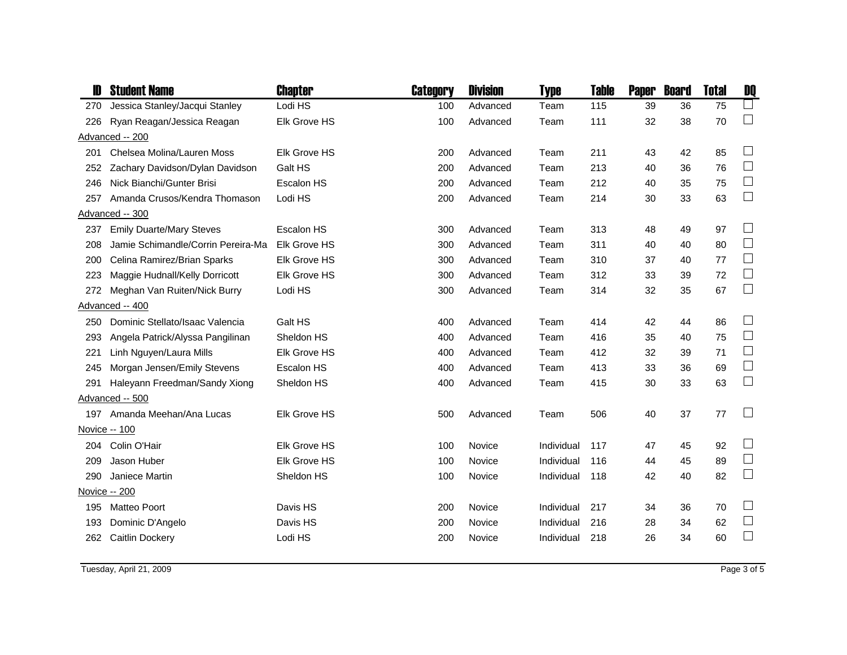|     | <b>Student Name</b>                | Chapter             | Category | <b>Division</b> | Type       | Table | <b>Paper</b> | <b>Board</b> | <b>Total</b> | DQ                          |
|-----|------------------------------------|---------------------|----------|-----------------|------------|-------|--------------|--------------|--------------|-----------------------------|
| 270 | Jessica Stanley/Jacqui Stanley     | Lodi HS             | 100      | Advanced        | Team       | 115   | 39           | 36           | 75           | $\Box$                      |
| 226 | Ryan Reagan/Jessica Reagan         | Elk Grove HS        | 100      | Advanced        | Team       | 111   | 32           | 38           | 70           | $\Box$                      |
|     | Advanced -- 200                    |                     |          |                 |            |       |              |              |              |                             |
| 201 | Chelsea Molina/Lauren Moss         | Elk Grove HS        | 200      | Advanced        | Team       | 211   | 43           | 42           | 85           | $\Box$                      |
| 252 | Zachary Davidson/Dylan Davidson    | Galt HS             | 200      | Advanced        | Team       | 213   | 40           | 36           | 76           | $\Box$                      |
| 246 | Nick Bianchi/Gunter Brisi          | Escalon HS          | 200      | Advanced        | Team       | 212   | 40           | 35           | 75           | $\mathcal{L}_{\mathcal{A}}$ |
| 257 | Amanda Crusos/Kendra Thomason      | Lodi HS             | 200      | Advanced        | Team       | 214   | 30           | 33           | 63           | $\Box$                      |
|     | Advanced -- 300                    |                     |          |                 |            |       |              |              |              |                             |
| 237 | <b>Emily Duarte/Mary Steves</b>    | Escalon HS          | 300      | Advanced        | Team       | 313   | 48           | 49           | 97           | $\Box$                      |
| 208 | Jamie Schimandle/Corrin Pereira-Ma | Elk Grove HS        | 300      | Advanced        | Team       | 311   | 40           | 40           | 80           | $\Box$                      |
| 200 | Celina Ramirez/Brian Sparks        | <b>Elk Grove HS</b> | 300      | Advanced        | Team       | 310   | 37           | 40           | 77           | $\Box$                      |
| 223 | Maggie Hudnall/Kelly Dorricott     | <b>Elk Grove HS</b> | 300      | Advanced        | Team       | 312   | 33           | 39           | 72           | $\Box$                      |
| 272 | Meghan Van Ruiten/Nick Burry       | Lodi HS             | 300      | Advanced        | Team       | 314   | 32           | 35           | 67           | $\Box$                      |
|     | Advanced -- 400                    |                     |          |                 |            |       |              |              |              |                             |
| 250 | Dominic Stellato/Isaac Valencia    | Galt HS             | 400      | Advanced        | Team       | 414   | 42           | 44           | 86           | $\Box$                      |
| 293 | Angela Patrick/Alyssa Pangilinan   | Sheldon HS          | 400      | Advanced        | Team       | 416   | 35           | 40           | 75           | $\Box$                      |
| 221 | Linh Nguyen/Laura Mills            | <b>Elk Grove HS</b> | 400      | Advanced        | Team       | 412   | 32           | 39           | 71           | $\Box$                      |
| 245 | Morgan Jensen/Emily Stevens        | Escalon HS          | 400      | Advanced        | Team       | 413   | 33           | 36           | 69           | $\Box$                      |
| 291 | Haleyann Freedman/Sandy Xiong      | Sheldon HS          | 400      | Advanced        | Team       | 415   | 30           | 33           | 63           | $\Box$                      |
|     | Advanced -- 500                    |                     |          |                 |            |       |              |              |              |                             |
|     | 197 Amanda Meehan/Ana Lucas        | Elk Grove HS        | 500      | Advanced        | Team       | 506   | 40           | 37           | 77           | $\mathcal{L}_{\mathcal{A}}$ |
|     | Novice -- 100                      |                     |          |                 |            |       |              |              |              |                             |
| 204 | Colin O'Hair                       | Elk Grove HS        | 100      | Novice          | Individual | 117   | 47           | 45           | 92           | $\Box$                      |
| 209 | Jason Huber                        | Elk Grove HS        | 100      | Novice          | Individual | 116   | 44           | 45           | 89           | $\Box$                      |
| 290 | Janiece Martin                     | Sheldon HS          | 100      | Novice          | Individual | 118   | 42           | 40           | 82           | $\Box$                      |
|     | Novice -- 200                      |                     |          |                 |            |       |              |              |              |                             |
| 195 | <b>Matteo Poort</b>                | Davis HS            | 200      | Novice          | Individual | 217   | 34           | 36           | 70           | $\Box$                      |
| 193 | Dominic D'Angelo                   | Davis HS            | 200      | Novice          | Individual | 216   | 28           | 34           | 62           | $\Box$                      |
| 262 | <b>Caitlin Dockery</b>             | Lodi HS             | 200      | Novice          | Individual | 218   | 26           | 34           | 60           | $\Box$                      |
|     |                                    |                     |          |                 |            |       |              |              |              |                             |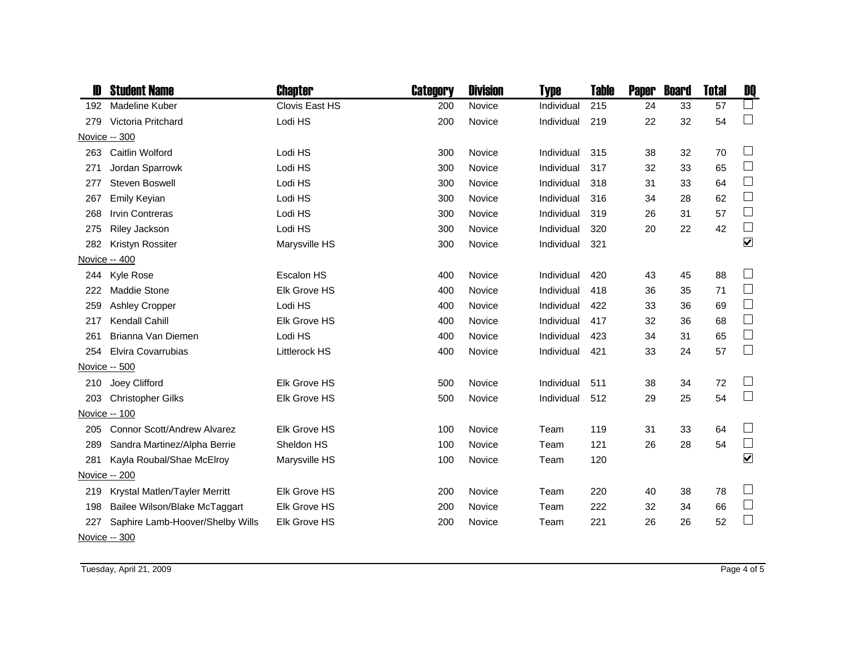|     | <b>Student Name</b>                | Chapter              | Category | <b>Division</b> | Type       | <b>Table</b> | <b>Paper</b> | <b>Board</b> | <b>Total</b> | DQ                                    |
|-----|------------------------------------|----------------------|----------|-----------------|------------|--------------|--------------|--------------|--------------|---------------------------------------|
| 192 | Madeline Kuber                     | Clovis East HS       | 200      | Novice          | Individual | 215          | 24           | 33           | 57           | $\Box$                                |
| 279 | Victoria Pritchard                 | Lodi HS              | 200      | Novice          | Individual | 219          | 22           | 32           | 54           | $\Box$                                |
|     | Novice -- 300                      |                      |          |                 |            |              |              |              |              |                                       |
| 263 | Caitlin Wolford                    | Lodi HS              | 300      | Novice          | Individual | 315          | 38           | 32           | 70           | $\Box$                                |
| 271 | Jordan Sparrowk                    | Lodi HS              | 300      | Novice          | Individual | 317          | 32           | 33           | 65           | $\Box$                                |
| 277 | <b>Steven Boswell</b>              | Lodi HS              | 300      | Novice          | Individual | 318          | 31           | 33           | 64           | $\Box$                                |
| 267 | <b>Emily Keyian</b>                | Lodi HS              | 300      | Novice          | Individual | 316          | 34           | 28           | 62           | $\Box$                                |
| 268 | <b>Irvin Contreras</b>             | Lodi HS              | 300      | Novice          | Individual | 319          | 26           | 31           | 57           | $\begin{array}{c} \hline \end{array}$ |
| 275 | Riley Jackson                      | Lodi HS              | 300      | Novice          | Individual | 320          | 20           | 22           | 42           | $\Box$                                |
| 282 | Kristyn Rossiter                   | Marysville HS        | 300      | Novice          | Individual | 321          |              |              |              | $\blacktriangledown$                  |
|     | Novice -- 400                      |                      |          |                 |            |              |              |              |              |                                       |
| 244 | Kyle Rose                          | Escalon HS           | 400      | Novice          | Individual | 420          | 43           | 45           | 88           |                                       |
| 222 | <b>Maddie Stone</b>                | Elk Grove HS         | 400      | Novice          | Individual | 418          | 36           | 35           | 71           | $\Box$                                |
| 259 | <b>Ashley Cropper</b>              | Lodi HS              | 400      | Novice          | Individual | 422          | 33           | 36           | 69           | $\Box$                                |
| 217 | Kendall Cahill                     | Elk Grove HS         | 400      | Novice          | Individual | 417          | 32           | 36           | 68           | $\Box$                                |
| 261 | Brianna Van Diemen                 | Lodi HS              | 400      | Novice          | Individual | 423          | 34           | 31           | 65           | $\Box$                                |
| 254 | Elvira Covarrubias                 | <b>Littlerock HS</b> | 400      | Novice          | Individual | 421          | 33           | 24           | 57           | $\Box$                                |
|     | Novice -- 500                      |                      |          |                 |            |              |              |              |              |                                       |
| 210 | Joey Clifford                      | <b>Elk Grove HS</b>  | 500      | Novice          | Individual | 511          | 38           | 34           | 72           | $\Box$                                |
| 203 | <b>Christopher Gilks</b>           | Elk Grove HS         | 500      | Novice          | Individual | 512          | 29           | 25           | 54           | $\Box$                                |
|     | Novice -- 100                      |                      |          |                 |            |              |              |              |              |                                       |
| 205 | <b>Connor Scott/Andrew Alvarez</b> | Elk Grove HS         | 100      | Novice          | Team       | 119          | 31           | 33           | 64           | $\Box$                                |
| 289 | Sandra Martinez/Alpha Berrie       | Sheldon HS           | 100      | Novice          | Team       | 121          | 26           | 28           | 54           | $\Box$                                |
| 281 | Kayla Roubal/Shae McElroy          | Marysville HS        | 100      | Novice          | Team       | 120          |              |              |              | $\blacktriangledown$                  |
|     | Novice -- 200                      |                      |          |                 |            |              |              |              |              |                                       |
| 219 | Krystal Matlen/Tayler Merritt      | Elk Grove HS         | 200      | Novice          | Team       | 220          | 40           | 38           | 78           | $\overline{\phantom{a}}$              |
| 198 | Bailee Wilson/Blake McTaggart      | <b>Elk Grove HS</b>  | 200      | Novice          | Team       | 222          | 32           | 34           | 66           | $\Box$                                |
| 227 | Saphire Lamb-Hoover/Shelby Wills   | Elk Grove HS         | 200      | Novice          | Team       | 221          | 26           | 26           | 52           | $\overline{\phantom{a}}$              |
|     | Novice -- 300                      |                      |          |                 |            |              |              |              |              |                                       |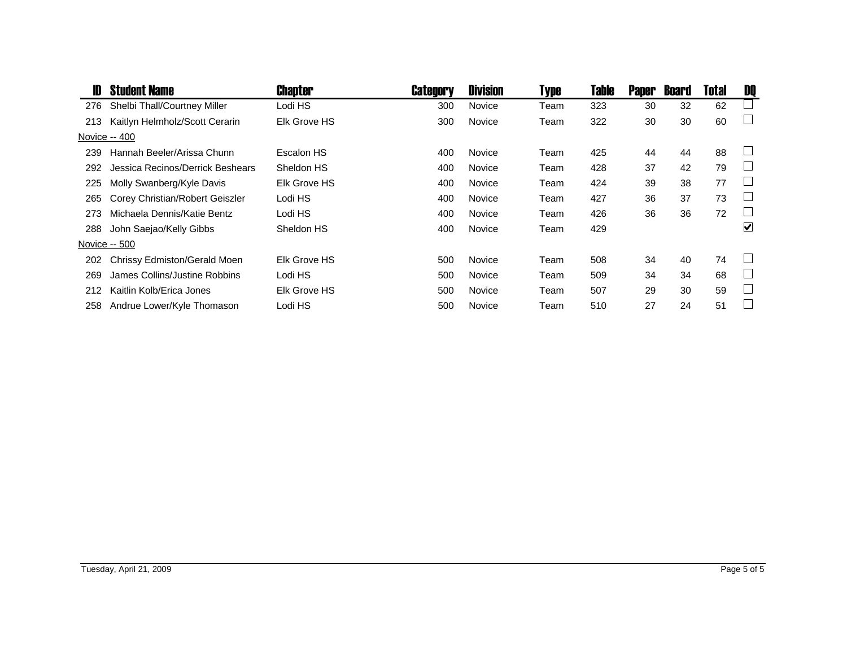| D   | <b>Student Name</b>              | Chapter             | Category | <b>Division</b> | <b>Type</b> | Table | <b>Paper</b> | <b>Board</b> | Total | DQ                          |
|-----|----------------------------------|---------------------|----------|-----------------|-------------|-------|--------------|--------------|-------|-----------------------------|
| 276 | Shelbi Thall/Courtney Miller     | Lodi HS             | 300      | Novice          | Team        | 323   | 30           | 32           | 62    |                             |
| 213 | Kaitlyn Helmholz/Scott Cerarin   | <b>Elk Grove HS</b> | 300      | Novice          | Team        | 322   | 30           | 30           | 60    |                             |
|     | Novice -- 400                    |                     |          |                 |             |       |              |              |       |                             |
| 239 | Hannah Beeler/Arissa Chunn       | Escalon HS          | 400      | <b>Novice</b>   | Team        | 425   | 44           | 44           | 88    |                             |
| 292 | Jessica Recinos/Derrick Beshears | Sheldon HS          | 400      | Novice          | Team        | 428   | 37           | 42           | 79    |                             |
| 225 | Molly Swanberg/Kyle Davis        | Elk Grove HS        | 400      | Novice          | Team        | 424   | 39           | 38           | 77    |                             |
| 265 | Corey Christian/Robert Geiszler  | Lodi HS             | 400      | Novice          | Team        | 427   | 36           | 37           | 73    |                             |
| 273 | Michaela Dennis/Katie Bentz      | Lodi HS             | 400      | Novice          | Team        | 426   | 36           | 36           | 72    | J.                          |
| 288 | John Saejao/Kelly Gibbs          | Sheldon HS          | 400      | Novice          | Team        | 429   |              |              |       | $\blacktriangledown$        |
|     | Novice -- 500                    |                     |          |                 |             |       |              |              |       |                             |
| 202 | Chrissy Edmiston/Gerald Moen     | Elk Grove HS        | 500      | <b>Novice</b>   | Team        | 508   | 34           | 40           | 74    |                             |
| 269 | James Collins/Justine Robbins    | Lodi HS             | 500      | Novice          | Team        | 509   | 34           | 34           | 68    | $\mathcal{L}_{\mathcal{A}}$ |
| 212 | Kaitlin Kolb/Erica Jones         | Elk Grove HS        | 500      | Novice          | Team        | 507   | 29           | 30           | 59    | ÷.                          |
| 258 | Andrue Lower/Kyle Thomason       | Lodi HS             | 500      | Novice          | Team        | 510   | 27           | 24           | 51    |                             |